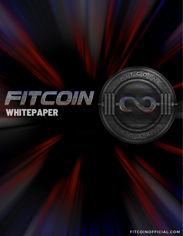

FITCOINOFFICIAL.COM

 $\overline{m}\propto$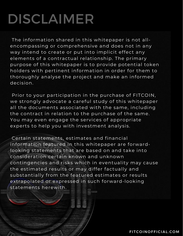## DISCLAIMER

The information shared in this whitepaper is not allencompassing or comprehensive and does not in any way intend to create or put into implicit effect any elements of a contractual relationship. The primary purpose of this whitepaper is to provide potential token holders with pertinent information in order for them to thoroughly analyse the project and make an informed decision.

Prior to your participation in the purchase of FITCOIN, we strongly advocate a careful study of this whitepaper all the documents associated with the same, including the contract in relation to the purchase of the same. You may even engage the services of appropriate experts to help you with investment analysis.

Certain statements, estimates and financial information featured in this whitepaper are forwardlooking statements that are based on and take into consideration certain known and unknown contingencies and risks which in eventuality may cause the estimated results or may differ factually and substantially from the featured estimates or results extrapolated or expressed in such forward-looking statements herewith.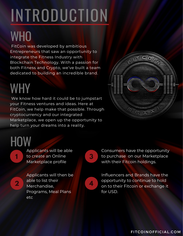## INTRODUCTION

### WHO

FitCoin was developed by ambitious Entrepreneurs that saw an opportunity to integrate the Fitness Industry with Blockchain Technology. With a passion for both Fitness and Crypto, we've built a team dedicated to building an incredible brand.

#### WHY

We know how hard it could be to jumpstart your Fitness ventures and ideas. Here at FitCoin, we help make that possible. Through cryptocurrency and our integrated Marketplace, we open up the opportunity to help turn your dreams into a reality.



**HOW** 

**1**

Applicants will be able to create an Online Marketplace profile

**2**

Applicants will then be able to list their Merchandise, Programs, Meal Plans etc



Consumers have the opportunity to purchase on our Marketplace with their Fitcoin holdings.



Influencers and Brands have the opportunity to continue to hold on to their Fitcoin or exchange it for USD.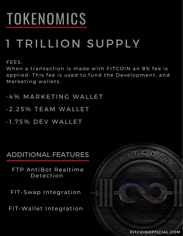## TOKENOMICS

#### 1 TRILLION SUPPLY

FEES:

When a transaction is made with FITCOIN an 8% fee is applied. This fee is used to fund the Development, and Marketing wallets.

- 4% MARKETING WALLET

- 2.25% TEAM WALLET

- 1.75% DEV WALLET

#### ADDITIONAL FEATURES

FTP AntiBot Realtime Detection

FIT-Swap Integration

FIT-Wallet Integration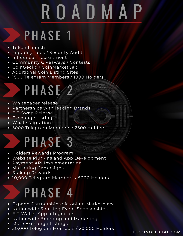# R O A D M A P

#### PHASE 1

- Token Launch
- Liquidity Lock / Security Audit
- Influencer Recruitment
- Community Giveaways / Contests
- CoinGecko / CoinMarketCap
- Additional Coin Listing Sites
- 1500 Telegram Members / 1000 Holders

#### PHASE<sub>2</sub>

- Whitepaper release
- Partnerships with leading Brands
- FIT-Swap Release
- Exchange Listings
- Whale Migration
- 5000 Telegram Members / 2500 Holders

#### PHASE 3

- Holders Rewards Program
- Website Plug-ins and App Development
- Payment API Implementation
- Marketing Campaigns
- **•** Staking Rewards
- 10,000 Telegram Members / 5000 Holders

#### PHASE 4

- Expand Partnerships via online Marketplace
- Nationwide Sporting Event Sponsorships
- FIT-Wallet App Integration
- Nationwide Branding and Marketing
- More Exchange Listings
- 50,000 Telegram Members / 20,000 Holders

FIT COIN OF FICIAL.COM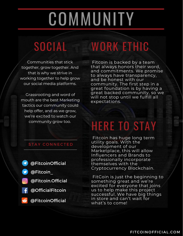## **COMMUNITY**

### SOCIAL WORK ETHIC

Communities that stick together, grow together. And that is why we strive in working together to help grow our social media platforms.

Grassrooting and word of mouth are the best Marketing tactics our community could help offer, and as we grow, we're excited to watch our community grow too.

Fitcoin is backed by a team that always honors their word, and commitments. We promise to always have transparency, and be honest with our community. The first step in a great foundation is by having a great backed community, so we will not stop until we fulfill all expectations.

#### STAY CONNECTED

@FitcoinOfficial  $\bullet$ @Fitcoin\_ @Fitcoin.Official @OfficialFitcoin @FitcoinOfficial  $\ddot{\bullet}$ 

#### HERE TO STAY

Fitcoin has huge long term utility goals. With the development of our Marketplace, this will allow Influencers and Brands to professionally incorporate themselves with the Cryptocurrency Blockchain.

FitCoin is just the beginning to something great and we're excited for everyone that joins us to help make this project successful. We have big things in store and can't wait for what's to come!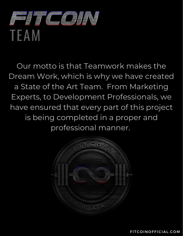

Our motto is that Teamwork makes the Dream Work, which is why we have created a State of the Art Team. From Marketing Experts, to Development Professionals, we have ensured that every part of this project is being completed in a proper and professional manner.